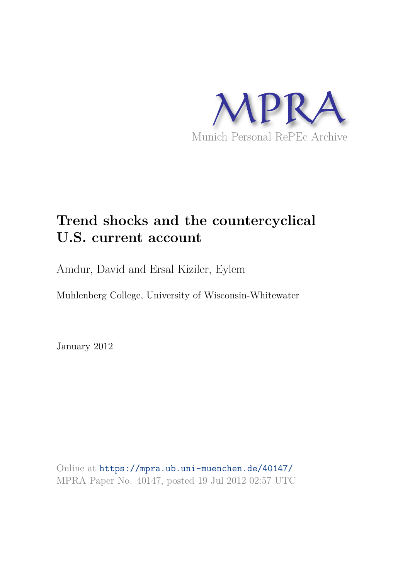

# **Trend shocks and the countercyclical U.S. current account**

Amdur, David and Ersal Kiziler, Eylem

Muhlenberg College, University of Wisconsin-Whitewater

January 2012

Online at https://mpra.ub.uni-muenchen.de/40147/ MPRA Paper No. 40147, posted 19 Jul 2012 02:57 UTC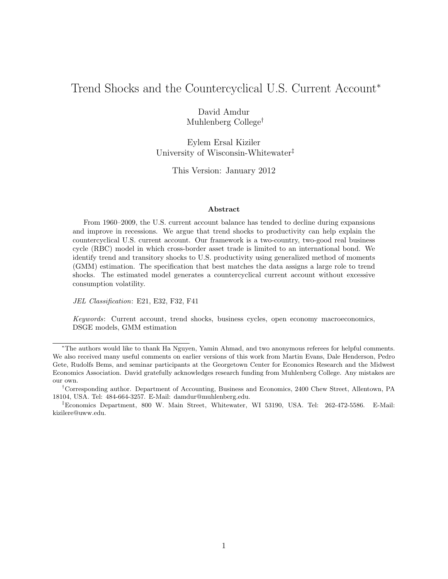# Trend Shocks and the Countercyclical U.S. Current Account<sup>∗</sup>

David Amdur Muhlenberg College†

Eylem Ersal Kiziler University of Wisconsin-Whitewater‡

This Version: January 2012

#### Abstract

From 1960–2009, the U.S. current account balance has tended to decline during expansions and improve in recessions. We argue that trend shocks to productivity can help explain the countercyclical U.S. current account. Our framework is a two-country, two-good real business cycle (RBC) model in which cross-border asset trade is limited to an international bond. We identify trend and transitory shocks to U.S. productivity using generalized method of moments (GMM) estimation. The specification that best matches the data assigns a large role to trend shocks. The estimated model generates a countercyclical current account without excessive consumption volatility.

*JEL Classification*: E21, E32, F32, F41

*Keywords*: Current account, trend shocks, business cycles, open economy macroeconomics, DSGE models, GMM estimation

<sup>∗</sup>The authors would like to thank Ha Nguyen, Yamin Ahmad, and two anonymous referees for helpful comments. We also received many useful comments on earlier versions of this work from Martin Evans, Dale Henderson, Pedro Gete, Rudolfs Bems, and seminar participants at the Georgetown Center for Economics Research and the Midwest Economics Association. David gratefully acknowledges research funding from Muhlenberg College. Any mistakes are our own.

<sup>†</sup>Corresponding author. Department of Accounting, Business and Economics, 2400 Chew Street, Allentown, PA 18104, USA. Tel: 484-664-3257. E-Mail: damdur@muhlenberg.edu.

<sup>‡</sup>Economics Department, 800 W. Main Street, Whitewater, WI 53190, USA. Tel: 262-472-5586. E-Mail: kizilere@uww.edu.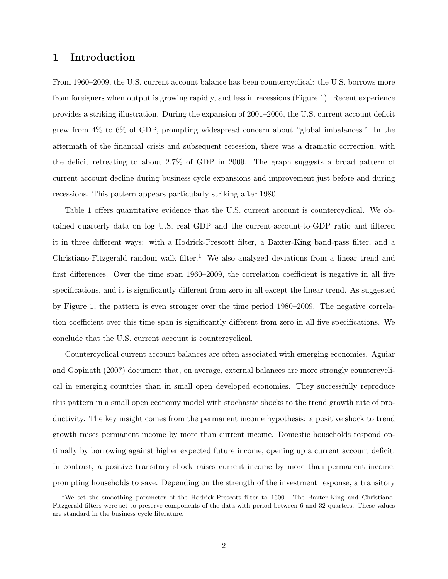## 1 Introduction

From 1960–2009, the U.S. current account balance has been countercyclical: the U.S. borrows more from foreigners when output is growing rapidly, and less in recessions (Figure 1). Recent experience provides a striking illustration. During the expansion of 2001–2006, the U.S. current account deficit grew from 4% to 6% of GDP, prompting widespread concern about "global imbalances." In the aftermath of the financial crisis and subsequent recession, there was a dramatic correction, with the deficit retreating to about 2.7% of GDP in 2009. The graph suggests a broad pattern of current account decline during business cycle expansions and improvement just before and during recessions. This pattern appears particularly striking after 1980.

Table 1 offers quantitative evidence that the U.S. current account is countercyclical. We obtained quarterly data on log U.S. real GDP and the current-account-to-GDP ratio and filtered it in three different ways: with a Hodrick-Prescott filter, a Baxter-King band-pass filter, and a Christiano-Fitzgerald random walk filter.<sup>1</sup> We also analyzed deviations from a linear trend and first differences. Over the time span 1960–2009, the correlation coefficient is negative in all five specifications, and it is significantly different from zero in all except the linear trend. As suggested by Figure 1, the pattern is even stronger over the time period 1980–2009. The negative correlation coefficient over this time span is significantly different from zero in all five specifications. We conclude that the U.S. current account is countercyclical.

Countercyclical current account balances are often associated with emerging economies. Aguiar and Gopinath (2007) document that, on average, external balances are more strongly countercyclical in emerging countries than in small open developed economies. They successfully reproduce this pattern in a small open economy model with stochastic shocks to the trend growth rate of productivity. The key insight comes from the permanent income hypothesis: a positive shock to trend growth raises permanent income by more than current income. Domestic households respond optimally by borrowing against higher expected future income, opening up a current account deficit. In contrast, a positive transitory shock raises current income by more than permanent income, prompting households to save. Depending on the strength of the investment response, a transitory

<sup>&</sup>lt;sup>1</sup>We set the smoothing parameter of the Hodrick-Prescott filter to 1600. The Baxter-King and Christiano-Fitzgerald filters were set to preserve components of the data with period between 6 and 32 quarters. These values are standard in the business cycle literature.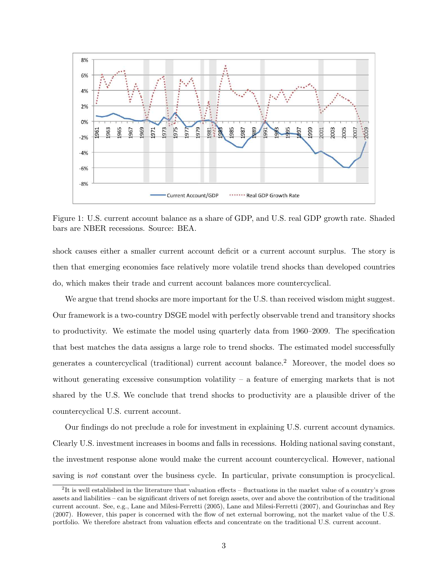

Figure 1: U.S. current account balance as a share of GDP, and U.S. real GDP growth rate. Shaded bars are NBER recessions. Source: BEA.

shock causes either a smaller current account deficit or a current account surplus. The story is then that emerging economies face relatively more volatile trend shocks than developed countries do, which makes their trade and current account balances more countercyclical.

We argue that trend shocks are more important for the U.S. than received wisdom might suggest. Our framework is a two-country DSGE model with perfectly observable trend and transitory shocks to productivity. We estimate the model using quarterly data from 1960–2009. The specification that best matches the data assigns a large role to trend shocks. The estimated model successfully generates a countercyclical (traditional) current account balance.<sup>2</sup> Moreover, the model does so without generating excessive consumption volatility – a feature of emerging markets that is not shared by the U.S. We conclude that trend shocks to productivity are a plausible driver of the countercyclical U.S. current account.

Our findings do not preclude a role for investment in explaining U.S. current account dynamics. Clearly U.S. investment increases in booms and falls in recessions. Holding national saving constant, the investment response alone would make the current account countercyclical. However, national saving is *not* constant over the business cycle. In particular, private consumption is procyclical.

 $2$ It is well established in the literature that valuation effects – fluctuations in the market value of a country's gross assets and liabilities – can be significant drivers of net foreign assets, over and above the contribution of the traditional current account. See, e.g., Lane and Milesi-Ferretti (2005), Lane and Milesi-Ferretti (2007), and Gourinchas and Rey (2007). However, this paper is concerned with the flow of net external borrowing, not the market value of the U.S. portfolio. We therefore abstract from valuation effects and concentrate on the traditional U.S. current account.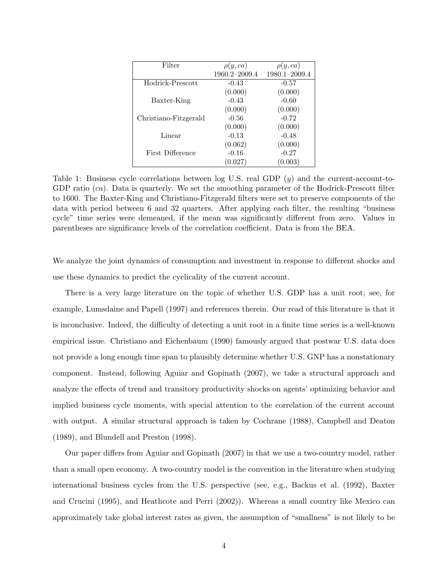| Filter                | $\rho(y, ca)$ | $\rho(y, ca)$ |
|-----------------------|---------------|---------------|
|                       | 1960.2-2009.4 | 1980.1-2009.4 |
| Hodrick-Prescott      | $-0.43$       | $-0.57$       |
|                       | (0.000)       | (0.000)       |
| Baxter-King           | $-0.43$       | $-0.60$       |
|                       | (0.000)       | (0.000)       |
| Christiano-Fitzgerald | $-0.56$       | $-0.72$       |
|                       | (0.000)       | (0.000)       |
| Linear                | $-0.13$       | $-0.48$       |
|                       | (0.062)       | (0.000)       |
| First Difference      | $-0.16$       | $-0.27$       |
|                       | (0.027)       | (0.003)       |

Table 1: Business cycle correlations between log U.S. real GDP  $(y)$  and the current-account-to-GDP ratio (ca). Data is quarterly. We set the smoothing parameter of the Hodrick-Prescott filter to 1600. The Baxter-King and Christiano-Fitzgerald filters were set to preserve components of the data with period between 6 and 32 quarters. After applying each filter, the resulting "business cycle" time series were demeaned, if the mean was significantly different from zero. Values in parentheses are significance levels of the correlation coefficient. Data is from the BEA.

We analyze the joint dynamics of consumption and investment in response to different shocks and use these dynamics to predict the cyclicality of the current account.

There is a very large literature on the topic of whether U.S. GDP has a unit root; see, for example, Lumsdaine and Papell (1997) and references therein. Our read of this literature is that it is inconclusive. Indeed, the difficulty of detecting a unit root in a finite time series is a well-known empirical issue. Christiano and Eichenbaum (1990) famously argued that postwar U.S. data does not provide a long enough time span to plausibly determine whether U.S. GNP has a nonstationary component. Instead, following Aguiar and Gopinath (2007), we take a structural approach and analyze the effects of trend and transitory productivity shocks on agents' optimizing behavior and implied business cycle moments, with special attention to the correlation of the current account with output. A similar structural approach is taken by Cochrane (1988), Campbell and Deaton (1989), and Blundell and Preston (1998).

Our paper differs from Aguiar and Gopinath (2007) in that we use a two-country model, rather than a small open economy. A two-country model is the convention in the literature when studying international business cycles from the U.S. perspective (see, e.g., Backus et al. (1992), Baxter and Crucini (1995), and Heathcote and Perri (2002)). Whereas a small country like Mexico can approximately take global interest rates as given, the assumption of "smallness" is not likely to be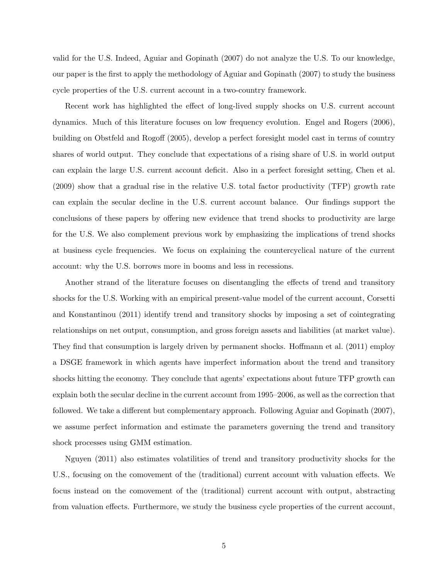valid for the U.S. Indeed, Aguiar and Gopinath (2007) do not analyze the U.S. To our knowledge, our paper is the first to apply the methodology of Aguiar and Gopinath (2007) to study the business cycle properties of the U.S. current account in a two-country framework.

Recent work has highlighted the effect of long-lived supply shocks on U.S. current account dynamics. Much of this literature focuses on low frequency evolution. Engel and Rogers (2006), building on Obstfeld and Rogoff (2005), develop a perfect foresight model cast in terms of country shares of world output. They conclude that expectations of a rising share of U.S. in world output can explain the large U.S. current account deficit. Also in a perfect foresight setting, Chen et al. (2009) show that a gradual rise in the relative U.S. total factor productivity (TFP) growth rate can explain the secular decline in the U.S. current account balance. Our findings support the conclusions of these papers by offering new evidence that trend shocks to productivity are large for the U.S. We also complement previous work by emphasizing the implications of trend shocks at business cycle frequencies. We focus on explaining the countercyclical nature of the current account: why the U.S. borrows more in booms and less in recessions.

Another strand of the literature focuses on disentangling the effects of trend and transitory shocks for the U.S. Working with an empirical present-value model of the current account, Corsetti and Konstantinou (2011) identify trend and transitory shocks by imposing a set of cointegrating relationships on net output, consumption, and gross foreign assets and liabilities (at market value). They find that consumption is largely driven by permanent shocks. Hoffmann et al. (2011) employ a DSGE framework in which agents have imperfect information about the trend and transitory shocks hitting the economy. They conclude that agents' expectations about future TFP growth can explain both the secular decline in the current account from 1995–2006, as well as the correction that followed. We take a different but complementary approach. Following Aguiar and Gopinath (2007), we assume perfect information and estimate the parameters governing the trend and transitory shock processes using GMM estimation.

Nguyen (2011) also estimates volatilities of trend and transitory productivity shocks for the U.S., focusing on the comovement of the (traditional) current account with valuation effects. We focus instead on the comovement of the (traditional) current account with output, abstracting from valuation effects. Furthermore, we study the business cycle properties of the current account,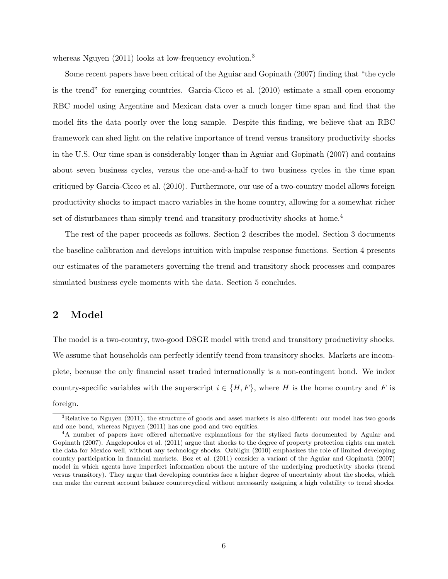whereas Nguyen (2011) looks at low-frequency evolution.<sup>3</sup>

Some recent papers have been critical of the Aguiar and Gopinath (2007) finding that "the cycle is the trend" for emerging countries. Garcia-Cicco et al. (2010) estimate a small open economy RBC model using Argentine and Mexican data over a much longer time span and find that the model fits the data poorly over the long sample. Despite this finding, we believe that an RBC framework can shed light on the relative importance of trend versus transitory productivity shocks in the U.S. Our time span is considerably longer than in Aguiar and Gopinath (2007) and contains about seven business cycles, versus the one-and-a-half to two business cycles in the time span critiqued by Garcia-Cicco et al. (2010). Furthermore, our use of a two-country model allows foreign productivity shocks to impact macro variables in the home country, allowing for a somewhat richer set of disturbances than simply trend and transitory productivity shocks at home.<sup>4</sup>

The rest of the paper proceeds as follows. Section 2 describes the model. Section 3 documents the baseline calibration and develops intuition with impulse response functions. Section 4 presents our estimates of the parameters governing the trend and transitory shock processes and compares simulated business cycle moments with the data. Section 5 concludes.

## 2 Model

The model is a two-country, two-good DSGE model with trend and transitory productivity shocks. We assume that households can perfectly identify trend from transitory shocks. Markets are incomplete, because the only financial asset traded internationally is a non-contingent bond. We index country-specific variables with the superscript  $i \in \{H, F\}$ , where H is the home country and F is foreign.

<sup>3</sup>Relative to Nguyen (2011), the structure of goods and asset markets is also different: our model has two goods and one bond, whereas Nguyen (2011) has one good and two equities.

<sup>&</sup>lt;sup>4</sup>A number of papers have offered alternative explanations for the stylized facts documented by Aguiar and Gopinath (2007). Angelopoulos et al. (2011) argue that shocks to the degree of property protection rights can match the data for Mexico well, without any technology shocks. Ozbilgin (2010) emphasizes the role of limited developing country participation in financial markets. Boz et al. (2011) consider a variant of the Aguiar and Gopinath (2007) model in which agents have imperfect information about the nature of the underlying productivity shocks (trend versus transitory). They argue that developing countries face a higher degree of uncertainty about the shocks, which can make the current account balance countercyclical without necessarily assigning a high volatility to trend shocks.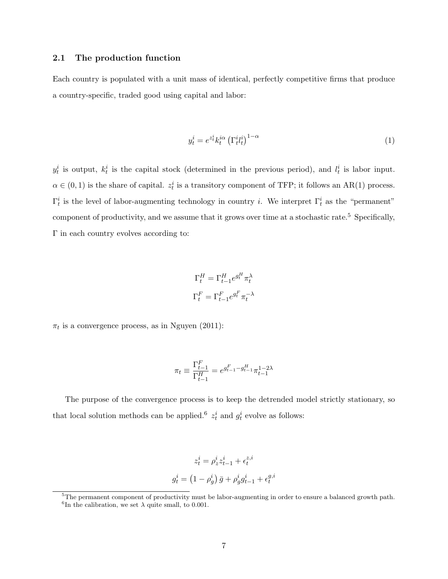## 2.1 The production function

Each country is populated with a unit mass of identical, perfectly competitive firms that produce a country-specific, traded good using capital and labor:

$$
y_t^i = e^{z_t^i} k_t^{i\alpha} \left(\Gamma_t^i l_t^i\right)^{1-\alpha} \tag{1}
$$

 $y_t^i$  is output,  $k_t^i$  is the capital stock (determined in the previous period), and  $l_t^i$  is labor input.  $\alpha \in (0,1)$  is the share of capital.  $z_t^i$  is a transitory component of TFP; it follows an AR(1) process.  $\Gamma_t^i$  is the level of labor-augmenting technology in country *i*. We interpret  $\Gamma_t^i$  as the "permanent" component of productivity, and we assume that it grows over time at a stochastic rate.<sup>5</sup> Specifically, Γ in each country evolves according to:

$$
\Gamma_t^H = \Gamma_{t-1}^H e^{g_t^H} \pi_t^{\lambda}
$$
  

$$
\Gamma_t^F = \Gamma_{t-1}^F e^{g_t^F} \pi_t^{-\lambda}
$$

 $\pi_t$  is a convergence process, as in Nguyen (2011):

$$
\pi_t \equiv \frac{\Gamma_{t-1}^F}{\Gamma_{t-1}^H} = e^{g_{t-1}^F - g_{t-1}^H} \pi_{t-1}^{1-2\lambda}
$$

The purpose of the convergence process is to keep the detrended model strictly stationary, so that local solution methods can be applied.<sup>6</sup>  $z_t^i$  and  $g_t^i$  evolve as follows:

$$
z_t^i = \rho_z^i z_{t-1}^i + \epsilon_t^{z,i}
$$

$$
g_t^i = \left(1 - \rho_g^i\right) \bar{g} + \rho_g^i g_{t-1}^i + \epsilon_t^{g,i}
$$

<sup>&</sup>lt;sup>5</sup>The permanent component of productivity must be labor-augmenting in order to ensure a balanced growth path.

<sup>&</sup>lt;sup>6</sup>In the calibration, we set  $\lambda$  quite small, to 0.001.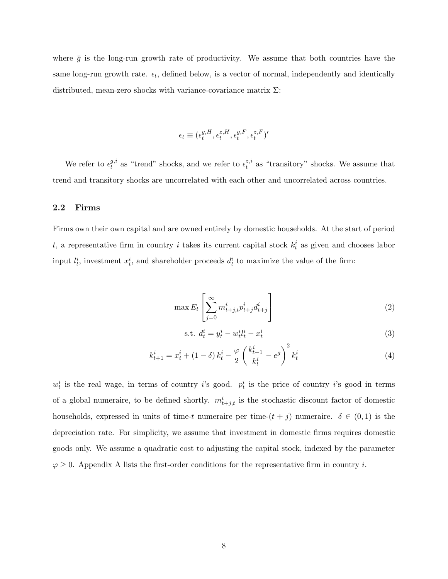where  $\bar{g}$  is the long-run growth rate of productivity. We assume that both countries have the same long-run growth rate.  $\epsilon_t$ , defined below, is a vector of normal, independently and identically distributed, mean-zero shocks with variance-covariance matrix  $\Sigma$ :

$$
\epsilon_t \equiv (\epsilon_t^{g,H},\epsilon_t^{z,H},\epsilon_t^{g,F},\epsilon_t^{z,F})'
$$

We refer to  $\epsilon_t^{g,i}$  $t_t^{g,i}$  as "trend" shocks, and we refer to  $\epsilon_t^{z,i}$  $t^{z,i}$  as "transitory" shocks. We assume that trend and transitory shocks are uncorrelated with each other and uncorrelated across countries.

#### 2.2 Firms

Firms own their own capital and are owned entirely by domestic households. At the start of period t, a representative firm in country i takes its current capital stock  $k_t^i$  as given and chooses labor input  $l_t^i$ , investment  $x_t^i$ , and shareholder proceeds  $d_t^i$  to maximize the value of the firm:

$$
\max E_t \left[ \sum_{j=0}^{\infty} m_{t+j,t}^i p_{t+j}^i d_{t+j}^i \right]
$$
 (2)

$$
\text{s.t. } d_t^i = y_t^i - w_t^i l_t^i - x_t^i \tag{3}
$$

$$
k_{t+1}^{i} = x_{t}^{i} + (1 - \delta) k_{t}^{i} - \frac{\varphi}{2} \left( \frac{k_{t+1}^{i}}{k_{t}^{i}} - e^{\bar{g}} \right)^{2} k_{t}^{i}
$$
(4)

 $w_t^i$  is the real wage, in terms of country i's good.  $p_t^i$  is the price of country i's good in terms of a global numeraire, to be defined shortly.  $m_{t+j,t}^i$  is the stochastic discount factor of domestic households, expressed in units of time-t numeraire per time- $(t + j)$  numeraire.  $\delta \in (0, 1)$  is the depreciation rate. For simplicity, we assume that investment in domestic firms requires domestic goods only. We assume a quadratic cost to adjusting the capital stock, indexed by the parameter  $\varphi \geq 0$ . Appendix A lists the first-order conditions for the representative firm in country i.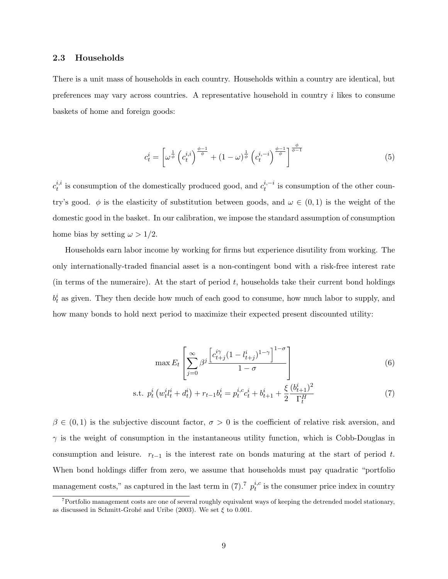#### 2.3 Households

There is a unit mass of households in each country. Households within a country are identical, but preferences may vary across countries. A representative household in country  $i$  likes to consume baskets of home and foreign goods:

$$
c_t^i = \left[\omega^{\frac{1}{\phi}} \left(c_t^{i,i}\right)^{\frac{\phi-1}{\phi}} + (1-\omega)^{\frac{1}{\phi}} \left(c_t^{i,-i}\right)^{\frac{\phi-1}{\phi}}\right]^{\frac{\phi}{\phi-1}}
$$
(5)

 $c_t^{i,i}$  $t_t^{i,i}$  is consumption of the domestically produced good, and  $c_t^{i,-i}$  $t_t^{i,-i}$  is consumption of the other country's good.  $\phi$  is the elasticity of substitution between goods, and  $\omega \in (0,1)$  is the weight of the domestic good in the basket. In our calibration, we impose the standard assumption of consumption home bias by setting  $\omega > 1/2$ .

Households earn labor income by working for firms but experience disutility from working. The only internationally-traded financial asset is a non-contingent bond with a risk-free interest rate (in terms of the numeraire). At the start of period  $t$ , households take their current bond holdings  $b_t^i$  as given. They then decide how much of each good to consume, how much labor to supply, and how many bonds to hold next period to maximize their expected present discounted utility:

$$
\max E_t \left[ \sum_{j=0}^{\infty} \beta^j \frac{\left[ c_{t+j}^{i\gamma} (1 - l_{t+j}^i)^{1-\gamma} \right]^{1-\sigma}}{1-\sigma} \right]
$$
(6)

s.t. 
$$
p_t^i (w_t^i t_t^i + d_t^i) + r_{t-1} b_t^i = p_t^{i,c} c_t^i + b_{t+1}^i + \frac{\xi}{2} \frac{(b_{t+1}^i)^2}{\Gamma_t^H}
$$
 (7)

 $\beta \in (0,1)$  is the subjective discount factor,  $\sigma > 0$  is the coefficient of relative risk aversion, and  $\gamma$  is the weight of consumption in the instantaneous utility function, which is Cobb-Douglas in consumption and leisure.  $r_{t-1}$  is the interest rate on bonds maturing at the start of period t. When bond holdings differ from zero, we assume that households must pay quadratic "portfolio management costs," as captured in the last term in  $(7)^7 p_t^{i,c}$  $t_t^{i,c}$  is the consumer price index in country

 $7$ Portfolio management costs are one of several roughly equivalent ways of keeping the detrended model stationary, as discussed in Schmitt-Grohé and Uribe (2003). We set  $\xi$  to 0.001.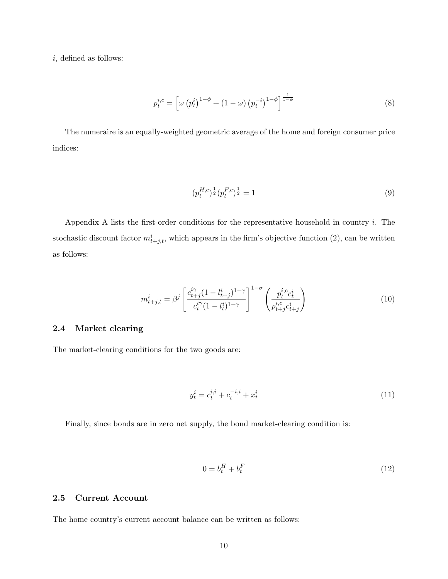$i$ , defined as follows:

$$
p_t^{i,c} = \left[ \omega \left( p_t^i \right)^{1-\phi} + (1-\omega) \left( p_t^{-i} \right)^{1-\phi} \right]^{\frac{1}{1-\phi}}
$$
\n(8)

The numeraire is an equally-weighted geometric average of the home and foreign consumer price indices:

$$
(p_t^{H,c})^{\frac{1}{2}}(p_t^{F,c})^{\frac{1}{2}} = 1
$$
\n(9)

Appendix A lists the first-order conditions for the representative household in country i. The stochastic discount factor  $m_{t+j,t}^i$ , which appears in the firm's objective function (2), can be written as follows:

$$
m_{t+j,t}^{i} = \beta^{j} \left[ \frac{c_{t+j}^{i\gamma} (1 - l_{t+j}^{i})^{1-\gamma}}{c_{t}^{i\gamma} (1 - l_{t}^{i})^{1-\gamma}} \right]^{1-\sigma} \left( \frac{p_{t}^{i,c} c_{t}^{i}}{p_{t+j}^{i,c} c_{t+j}^{i}} \right)
$$
(10)

### 2.4 Market clearing

The market-clearing conditions for the two goods are:

$$
y_t^i = c_t^{i,i} + c_t^{-i,i} + x_t^i \tag{11}
$$

Finally, since bonds are in zero net supply, the bond market-clearing condition is:

$$
0 = b_t^H + b_t^F \tag{12}
$$

## 2.5 Current Account

The home country's current account balance can be written as follows: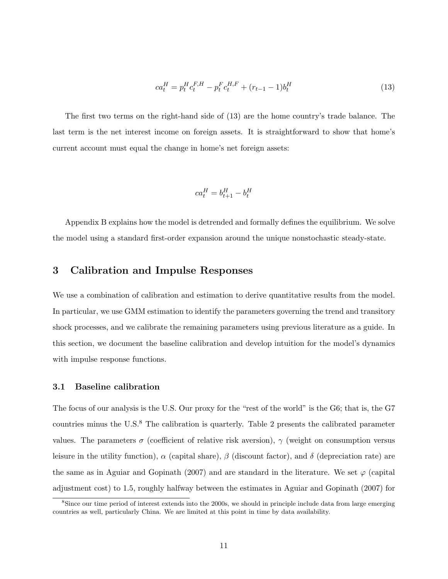$$
ca_t^H = p_t^H c_t^{F,H} - p_t^F c_t^{H,F} + (r_{t-1} - 1)b_t^H
$$
\n(13)

The first two terms on the right-hand side of (13) are the home country's trade balance. The last term is the net interest income on foreign assets. It is straightforward to show that home's current account must equal the change in home's net foreign assets:

$$
ca_{t}^{H}=b_{t+1}^{H}-b_{t}^{H}\nonumber\\
$$

Appendix B explains how the model is detrended and formally defines the equilibrium. We solve the model using a standard first-order expansion around the unique nonstochastic steady-state.

## 3 Calibration and Impulse Responses

We use a combination of calibration and estimation to derive quantitative results from the model. In particular, we use GMM estimation to identify the parameters governing the trend and transitory shock processes, and we calibrate the remaining parameters using previous literature as a guide. In this section, we document the baseline calibration and develop intuition for the model's dynamics with impulse response functions.

## 3.1 Baseline calibration

The focus of our analysis is the U.S. Our proxy for the "rest of the world" is the G6; that is, the G7 countries minus the  $U.S.^8$  The calibration is quarterly. Table 2 presents the calibrated parameter values. The parameters  $\sigma$  (coefficient of relative risk aversion),  $\gamma$  (weight on consumption versus leisure in the utility function),  $\alpha$  (capital share),  $\beta$  (discount factor), and  $\delta$  (depreciation rate) are the same as in Aguiar and Gopinath (2007) and are standard in the literature. We set  $\varphi$  (capital adjustment cost) to 1.5, roughly halfway between the estimates in Aguiar and Gopinath (2007) for

<sup>8</sup>Since our time period of interest extends into the 2000s, we should in principle include data from large emerging countries as well, particularly China. We are limited at this point in time by data availability.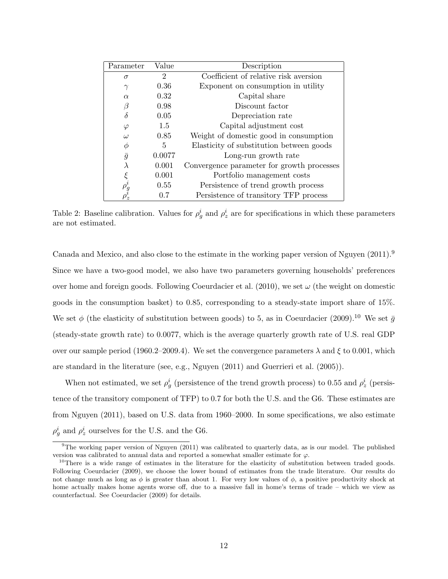| Parameter                              | Value          | Description                                |
|----------------------------------------|----------------|--------------------------------------------|
| $\sigma$                               | $\overline{2}$ | Coefficient of relative risk aversion      |
| $\gamma$                               | 0.36           | Exponent on consumption in utility         |
| $\alpha$                               | 0.32           | Capital share                              |
| β                                      | 0.98           | Discount factor                            |
| $\delta$                               | 0.05           | Depreciation rate                          |
| $\varphi$                              | 1.5            | Capital adjustment cost                    |
| $\omega$                               | 0.85           | Weight of domestic good in consumption     |
| $\phi$                                 | 5              | Elasticity of substitution between goods   |
| $\bar{g}$                              | 0.0077         | Long-run growth rate                       |
| λ                                      | 0.001          | Convergence parameter for growth processes |
|                                        | 0.001          | Portfolio management costs                 |
| $\xi$<br>$\rho_{g}^{i}$<br>$o_{z}^{i}$ | 0.55           | Persistence of trend growth process        |
|                                        | 0.7            | Persistence of transitory TFP process      |

Table 2: Baseline calibration. Values for  $\rho_g^i$  and  $\rho_z^i$  are for specifications in which these parameters are not estimated.

Canada and Mexico, and also close to the estimate in the working paper version of Nguyen (2011).<sup>9</sup> Since we have a two-good model, we also have two parameters governing households' preferences over home and foreign goods. Following Coeurdacier et al.  $(2010)$ , we set  $\omega$  (the weight on domestic goods in the consumption basket) to 0.85, corresponding to a steady-state import share of 15%. We set  $\phi$  (the elasticity of substitution between goods) to 5, as in Coeurdacier (2009).<sup>10</sup> We set  $\bar{g}$ (steady-state growth rate) to 0.0077, which is the average quarterly growth rate of U.S. real GDP over our sample period (1960.2–2009.4). We set the convergence parameters  $\lambda$  and  $\xi$  to 0.001, which are standard in the literature (see, e.g., Nguyen (2011) and Guerrieri et al. (2005)).

When not estimated, we set  $\rho_g^i$  (persistence of the trend growth process) to 0.55 and  $\rho_z^i$  (persistence of the transitory component of TFP) to 0.7 for both the U.S. and the G6. These estimates are from Nguyen (2011), based on U.S. data from 1960–2000. In some specifications, we also estimate  $\rho_g^i$  and  $\rho_z^i$  ourselves for the U.S. and the G6.

 $9$ The working paper version of Nguyen (2011) was calibrated to quarterly data, as is our model. The published version was calibrated to annual data and reported a somewhat smaller estimate for  $\varphi$ .

<sup>&</sup>lt;sup>10</sup>There is a wide range of estimates in the literature for the elasticity of substitution between traded goods. Following Coeurdacier (2009), we choose the lower bound of estimates from the trade literature. Our results do not change much as long as  $\phi$  is greater than about 1. For very low values of  $\phi$ , a positive productivity shock at home actually makes home agents worse off, due to a massive fall in home's terms of trade – which we view as counterfactual. See Coeurdacier (2009) for details.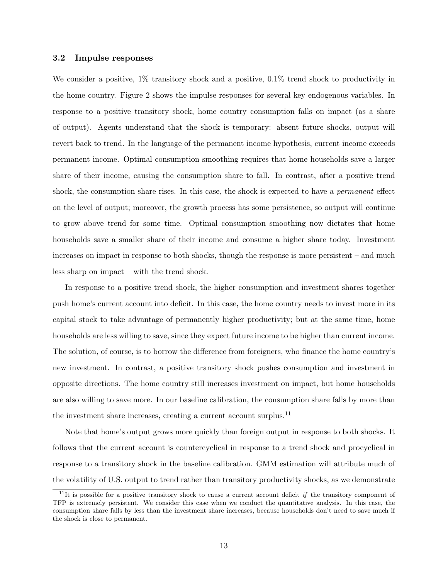#### 3.2 Impulse responses

We consider a positive,  $1\%$  transitory shock and a positive,  $0.1\%$  trend shock to productivity in the home country. Figure 2 shows the impulse responses for several key endogenous variables. In response to a positive transitory shock, home country consumption falls on impact (as a share of output). Agents understand that the shock is temporary: absent future shocks, output will revert back to trend. In the language of the permanent income hypothesis, current income exceeds permanent income. Optimal consumption smoothing requires that home households save a larger share of their income, causing the consumption share to fall. In contrast, after a positive trend shock, the consumption share rises. In this case, the shock is expected to have a *permanent* effect on the level of output; moreover, the growth process has some persistence, so output will continue to grow above trend for some time. Optimal consumption smoothing now dictates that home households save a smaller share of their income and consume a higher share today. Investment increases on impact in response to both shocks, though the response is more persistent – and much less sharp on impact – with the trend shock.

In response to a positive trend shock, the higher consumption and investment shares together push home's current account into deficit. In this case, the home country needs to invest more in its capital stock to take advantage of permanently higher productivity; but at the same time, home households are less willing to save, since they expect future income to be higher than current income. The solution, of course, is to borrow the difference from foreigners, who finance the home country's new investment. In contrast, a positive transitory shock pushes consumption and investment in opposite directions. The home country still increases investment on impact, but home households are also willing to save more. In our baseline calibration, the consumption share falls by more than the investment share increases, creating a current account surplus.<sup>11</sup>

Note that home's output grows more quickly than foreign output in response to both shocks. It follows that the current account is countercyclical in response to a trend shock and procyclical in response to a transitory shock in the baseline calibration. GMM estimation will attribute much of the volatility of U.S. output to trend rather than transitory productivity shocks, as we demonstrate

 $11$ It is possible for a positive transitory shock to cause a current account deficit if the transitory component of TFP is extremely persistent. We consider this case when we conduct the quantitative analysis. In this case, the consumption share falls by less than the investment share increases, because households don't need to save much if the shock is close to permanent.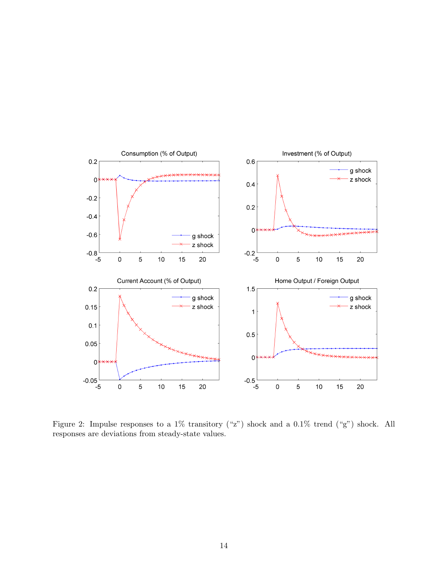

Figure 2: Impulse responses to a 1% transitory ("z") shock and a 0.1% trend ("g") shock. All responses are deviations from steady-state values.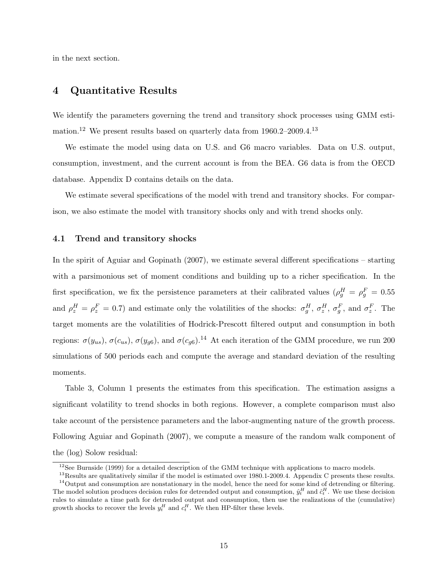in the next section.

## 4 Quantitative Results

We identify the parameters governing the trend and transitory shock processes using GMM estimation.<sup>12</sup> We present results based on quarterly data from 1960.2–2009.4.<sup>13</sup>

We estimate the model using data on U.S. and G6 macro variables. Data on U.S. output, consumption, investment, and the current account is from the BEA. G6 data is from the OECD database. Appendix D contains details on the data.

We estimate several specifications of the model with trend and transitory shocks. For comparison, we also estimate the model with transitory shocks only and with trend shocks only.

#### 4.1 Trend and transitory shocks

In the spirit of Aguiar and Gopinath (2007), we estimate several different specifications – starting with a parsimonious set of moment conditions and building up to a richer specification. In the first specification, we fix the persistence parameters at their calibrated values  $(\rho_g^H = \rho_g^F = 0.55$ and  $\rho_z^H = \rho_z^F = 0.7$  and estimate only the volatilities of the shocks:  $\sigma_g^H$ ,  $\sigma_z^H$ ,  $\sigma_g^F$ , and  $\sigma_z^F$ . The target moments are the volatilities of Hodrick-Prescott filtered output and consumption in both regions:  $\sigma(y_{us}), \sigma(c_{us}), \sigma(y_{g6}),$  and  $\sigma(c_{g6})$ .<sup>14</sup> At each iteration of the GMM procedure, we run 200 simulations of 500 periods each and compute the average and standard deviation of the resulting moments.

Table 3, Column 1 presents the estimates from this specification. The estimation assigns a significant volatility to trend shocks in both regions. However, a complete comparison must also take account of the persistence parameters and the labor-augmenting nature of the growth process. Following Aguiar and Gopinath (2007), we compute a measure of the random walk component of the (log) Solow residual:

<sup>&</sup>lt;sup>12</sup>See Burnside (1999) for a detailed description of the GMM technique with applications to macro models.

<sup>&</sup>lt;sup>13</sup>Results are qualitatively similar if the model is estimated over  $1980.1$ -2009.4. Appendix C presents these results. <sup>14</sup>Output and consumption are nonstationary in the model, hence the need for some kind of detrending or filtering. The model solution produces decision rules for detrended output and consumption,  $\hat{y}_t^H$  and  $\hat{c}_t^H$ . We use these decision rules to simulate a time path for detrended output and consumption, then use the realizations of the (cumulative) growth shocks to recover the levels  $y_t^H$  and  $c_t^H$ . We then HP-filter these levels.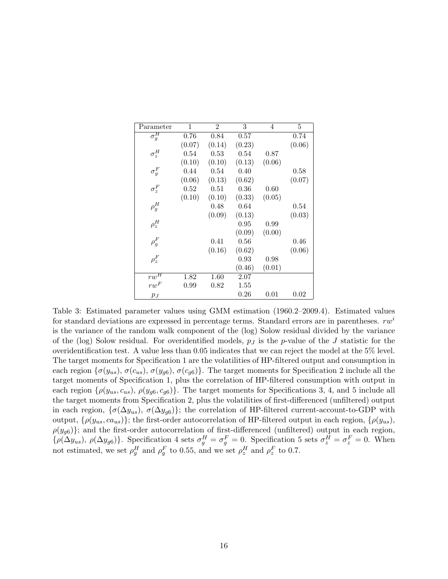| $\mathbf{1}$ | $\overline{2}$ | 3      | $\overline{4}$ | 5      |
|--------------|----------------|--------|----------------|--------|
| 0.76         | 0.84           | 0.57   |                | 0.74   |
| (0.07)       | (0.14)         | (0.23) |                | (0.06) |
| 0.54         | 0.53           | 0.54   | 0.87           |        |
| (0.10)       | (0.10)         | (0.13) | (0.06)         |        |
| 0.44         | 0.54           | 0.40   |                | 0.58   |
| (0.06)       | (0.13)         | (0.62) |                | (0.07) |
| 0.52         | 0.51           | 0.36   | 0.60           |        |
| (0.10)       | (0.10)         | (0.33) | (0.05)         |        |
|              | 0.48           | 0.64   |                | 0.54   |
|              | (0.09)         | (0.13) |                | (0.03) |
|              |                | 0.95   | 0.99           |        |
|              |                | (0.09) | (0.00)         |        |
|              | 0.41           | 0.56   |                | 0.46   |
|              |                |        |                | (0.06) |
|              |                | 0.93   | 0.98           |        |
|              |                | (0.46) | (0.01)         |        |
| 1.82         | 1.60           | 2.07   |                |        |
| 0.99         | 0.82           | 1.55   |                |        |
|              |                | 0.26   | 0.01           | 0.02   |
|              |                | (0.16) | (0.62)         |        |

Table 3: Estimated parameter values using GMM estimation (1960.2–2009.4). Estimated values for standard deviations are expressed in percentage terms. Standard errors are in parentheses.  $rw<sup>i</sup>$ is the variance of the random walk component of the (log) Solow residual divided by the variance of the (log) Solow residual. For overidentified models,  $p_j$  is the p-value of the J statistic for the overidentification test. A value less than 0.05 indicates that we can reject the model at the 5% level. The target moments for Specification 1 are the volatilities of HP-filtered output and consumption in each region  $\{\sigma(y_{us}), \sigma(c_{us}), \sigma(y_{q6}), \sigma(c_{q6})\}\)$ . The target moments for Specification 2 include all the target moments of Specification 1, plus the correlation of HP-filtered consumption with output in each region  $\{\rho(y_{us}, c_{us}), \rho(y_{q6}, c_{q6})\}\.$  The target moments for Specifications 3, 4, and 5 include all the target moments from Specification 2, plus the volatilities of first-differenced (unfiltered) output in each region,  $\{\sigma(\Delta y_{us}), \sigma(\Delta y_{g6})\}$ ; the correlation of HP-filtered current-account-to-GDP with output,  $\{\rho(y_{us}, ca_{us})\}$ ; the first-order autocorrelation of HP-filtered output in each region,  $\{\rho(y_{us}),\}$  $\rho(y_{g6})\$ ; and the first-order autocorrelation of first-differenced (unfiltered) output in each region,  $\{\rho(\Delta y_{us}), \rho(\Delta y_{g6})\}\.$  Specification 4 sets  $\sigma_g^H = \sigma_g^F = 0$ . Specification 5 sets  $\sigma_z^H = \sigma_z^F = 0$ . When not estimated, we set  $\rho_g^H$  and  $\rho_g^F$  to 0.55, and we set  $\rho_z^H$  and  $\rho_z^F$  to 0.7.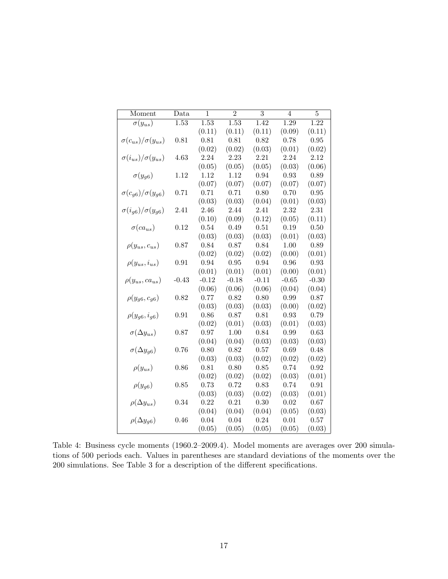| Moment                          | Data    | $\mathbf{1}$      | $\overline{2}$ | $\overline{3}$ | 4                 | 5          |
|---------------------------------|---------|-------------------|----------------|----------------|-------------------|------------|
| $\sigma(y_{us})$                | 1.53    | $\overline{1.53}$ | 1.53           | 1.42           | $\overline{1.29}$ | 1.22       |
|                                 |         | (0.11)            | (0.11)         | (0.11)         | (0.09)            | (0.11)     |
| $\sigma(c_{us})/\sigma(y_{us})$ | 0.81    | 0.81              | 0.81           | 0.82           | 0.78              | 0.95       |
|                                 |         | (0.02)            | (0.02)         | (0.03)         | (0.01)            | (0.02)     |
| $\sigma(i_{us})/\sigma(y_{us})$ | 4.63    | 2.24              | 2.23           | 2.21           | 2.24              | 2.12       |
|                                 |         | (0.05)            | (0.05)         | (0.05)         | (0.03)            | (0.06)     |
| $\sigma(y_{g6})$                | 1.12    | 1.12              | 1.12           | 0.94           | $\rm 0.93$        | 0.89       |
|                                 |         | (0.07)            | (0.07)         | (0.07)         | (0.07)            | (0.07)     |
| $\sigma(c_{g6})/\sigma(y_{g6})$ | 0.71    | 0.71              | 0.71           | 0.80           | 0.70              | $0.95\,$   |
|                                 |         | (0.03)            | (0.03)         | (0.04)         | (0.01)            | (0.03)     |
| $\sigma(i_{g6})/\sigma(y_{g6})$ | 2.41    | 2.46              | 2.44           | 2.41           | 2.32              | $2.31\,$   |
|                                 |         | (0.10)            | (0.09)         | (0.12)         | (0.05)            | (0.11)     |
| $\sigma (ca_{us})$              | 0.12    | $0.54\,$          | 0.49           | 0.51           | 0.19              | $0.50\,$   |
|                                 |         | (0.03)            | (0.03)         | (0.03)         | (0.01)            | (0.03)     |
| $\rho(y_{us}, c_{us})$          | 0.87    | 0.84              | 0.87           | 0.84           | 1.00              | 0.89       |
|                                 |         | (0.02)            | (0.02)         | (0.02)         | (0.00)            | (0.01)     |
| $\rho(y_{us}, i_{us})$          | 0.91    | $\rm 0.94$        | 0.95           | 0.94           | 0.96              | $\rm 0.93$ |
|                                 |         | (0.01)            | (0.01)         | (0.01)         | (0.00)            | (0.01)     |
| $\rho(y_{us},ca_{us})$          | $-0.43$ | $-0.12$           | $-0.18$        | $-0.11$        | $-0.65$           | $-0.30$    |
|                                 |         | (0.06)            | (0.06)         | (0.06)         | (0.04)            | (0.04)     |
| $\rho(y_{g6}, c_{g6})$          | 0.82    | 0.77              | 0.82           | 0.80           | $0.99\,$          | $0.87\,$   |
|                                 |         | (0.03)            | (0.03)         | (0.03)         | (0.00)            | (0.02)     |
| $\rho(y_{g6}, i_{g6})$          | 0.91    | 0.86              | 0.87           | 0.81           | 0.93              | 0.79       |
|                                 |         | (0.02)            | (0.01)         | (0.03)         | (0.01)            | (0.03)     |
| $\sigma(\Delta y_{us})$         | 0.87    | 0.97              | 1.00           | 0.84           | 0.99              | 0.63       |
|                                 |         | (0.04)            | (0.04)         | (0.03)         | (0.03)            | (0.03)     |
| $\sigma(\Delta y_{g6})$         | 0.76    | 0.80              | 0.82           | $0.57\,$       | 0.69              | $0.48\,$   |
|                                 |         | (0.03)            | (0.03)         | (0.02)         | (0.02)            | (0.02)     |
| $\rho(y_{us})$                  | 0.86    | 0.81              | 0.80           | 0.85           | 0.74              | 0.92       |
|                                 |         | (0.02)            | (0.02)         | (0.02)         | (0.03)            | (0.01)     |
| $\rho(y_{g6})$                  | 0.85    | 0.73              | 0.72           | 0.83           | 0.74              | 0.91       |
|                                 |         | (0.03)            | (0.03)         | (0.02)         | (0.03)            | (0.01)     |
| $\rho(\Delta y_{us})$           | 0.34    | 0.22              | $\rm 0.21$     | 0.30           | 0.02              | 0.67       |
|                                 |         | (0.04)            | (0.04)         | (0.04)         | (0.05)            | (0.03)     |
| $\rho(\Delta y_{g6})$           | 0.46    | 0.04              | 0.04           | $0.24\,$       | 0.01              | $0.57\,$   |
|                                 |         | (0.05)            | (0.05)         | (0.05)         | (0.05)            | (0.03)     |

Table 4: Business cycle moments (1960.2–2009.4). Model moments are averages over 200 simulations of 500 periods each. Values in parentheses are standard deviations of the moments over the 200 simulations. See Table 3 for a description of the different specifications.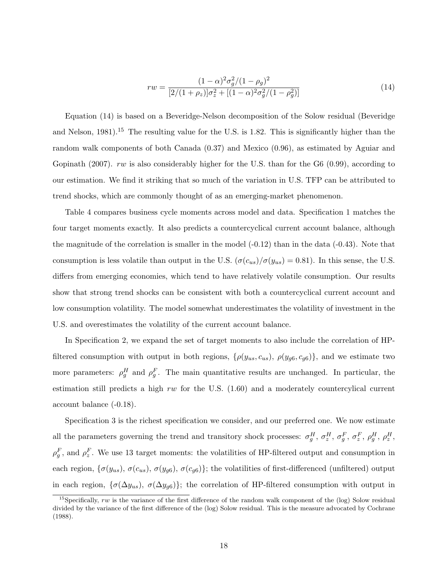$$
rw = \frac{(1 - \alpha)^2 \sigma_g^2 / (1 - \rho_g)^2}{[2/(1 + \rho_z)] \sigma_z^2 + [(1 - \alpha)^2 \sigma_g^2 / (1 - \rho_g^2)]}
$$
(14)

Equation (14) is based on a Beveridge-Nelson decomposition of the Solow residual (Beveridge and Nelson, 1981).<sup>15</sup> The resulting value for the U.S. is 1.82. This is significantly higher than the random walk components of both Canada (0.37) and Mexico (0.96), as estimated by Aguiar and Gopinath (2007).  $rw$  is also considerably higher for the U.S. than for the G6 (0.99), according to our estimation. We find it striking that so much of the variation in U.S. TFP can be attributed to trend shocks, which are commonly thought of as an emerging-market phenomenon.

Table 4 compares business cycle moments across model and data. Specification 1 matches the four target moments exactly. It also predicts a countercyclical current account balance, although the magnitude of the correlation is smaller in the model  $(-0.12)$  than in the data  $(-0.43)$ . Note that consumption is less volatile than output in the U.S.  $(\sigma(c_{us})/\sigma(y_{us}) = 0.81)$ . In this sense, the U.S. differs from emerging economies, which tend to have relatively volatile consumption. Our results show that strong trend shocks can be consistent with both a countercyclical current account and low consumption volatility. The model somewhat underestimates the volatility of investment in the U.S. and overestimates the volatility of the current account balance.

In Specification 2, we expand the set of target moments to also include the correlation of HPfiltered consumption with output in both regions,  $\{\rho(y_{us}, c_{us}), \rho(y_{g6}, c_{g6})\}$ , and we estimate two more parameters:  $\rho_g^H$  and  $\rho_g^F$ . The main quantitative results are unchanged. In particular, the estimation still predicts a high  $rw$  for the U.S.  $(1.60)$  and a moderately countercylical current account balance (-0.18).

Specification 3 is the richest specification we consider, and our preferred one. We now estimate all the parameters governing the trend and transitory shock processes:  $\sigma_g^H$ ,  $\sigma_z^H$ ,  $\sigma_g^F$ ,  $\sigma_z^F$ ,  $\rho_g^H$ ,  $\rho_z^H$ ,  $\rho_g^F$ , and  $\rho_z^F$ . We use 13 target moments: the volatilities of HP-filtered output and consumption in each region,  $\{\sigma(y_{us}), \sigma(c_{us}), \sigma(y_{g6}), \sigma(c_{g6})\}$ ; the volatilities of first-differenced (unfiltered) output in each region,  $\{\sigma(\Delta y_{us}), \ \sigma(\Delta y_{g6})\}$ ; the correlation of HP-filtered consumption with output in

<sup>&</sup>lt;sup>15</sup>Specifically, rw is the variance of the first difference of the random walk component of the (log) Solow residual divided by the variance of the first difference of the (log) Solow residual. This is the measure advocated by Cochrane (1988).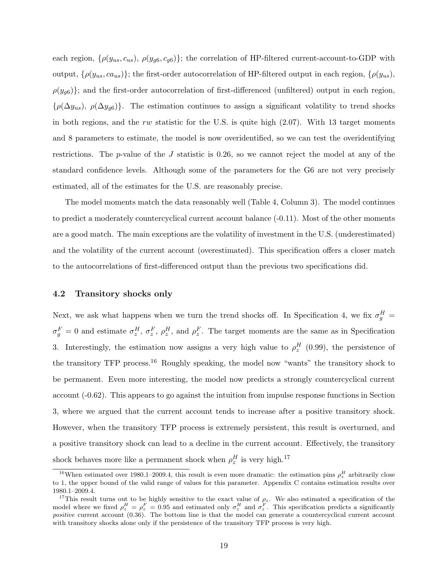each region,  $\{\rho(y_{us}, c_{us}), \rho(y_{g6}, c_{g6})\}$ ; the correlation of HP-filtered current-account-to-GDP with output,  $\{\rho(y_{us}, ca_{us})\}$ ; the first-order autocorrelation of HP-filtered output in each region,  $\{\rho(y_{us}), \sigma(y_{us})\}$  $\rho(y_{g6})$ ; and the first-order autocorrelation of first-differenced (unfiltered) output in each region,  $\{\rho(\Delta y_{us}), \ \rho(\Delta y_{g6})\}.$  The estimation continues to assign a significant volatility to trend shocks in both regions, and the rw statistic for the U.S. is quite high  $(2.07)$ . With 13 target moments and 8 parameters to estimate, the model is now overidentified, so we can test the overidentifying restrictions. The p-value of the J statistic is 0.26, so we cannot reject the model at any of the standard confidence levels. Although some of the parameters for the G6 are not very precisely estimated, all of the estimates for the U.S. are reasonably precise.

The model moments match the data reasonably well (Table 4, Column 3). The model continues to predict a moderately countercyclical current account balance (-0.11). Most of the other moments are a good match. The main exceptions are the volatility of investment in the U.S. (underestimated) and the volatility of the current account (overestimated). This specification offers a closer match to the autocorrelations of first-differenced output than the previous two specifications did.

#### 4.2 Transitory shocks only

Next, we ask what happens when we turn the trend shocks off. In Specification 4, we fix  $\sigma_g^H$  =  $\sigma_g^F = 0$  and estimate  $\sigma_z^H$ ,  $\sigma_z^F$ ,  $\rho_z^H$ , and  $\rho_z^F$ . The target moments are the same as in Specification 3. Interestingly, the estimation now assigns a very high value to  $\rho_z^H$  (0.99), the persistence of the transitory TFP process.<sup>16</sup> Roughly speaking, the model now "wants" the transitory shock to be permanent. Even more interesting, the model now predicts a strongly countercyclical current account (-0.62). This appears to go against the intuition from impulse response functions in Section 3, where we argued that the current account tends to increase after a positive transitory shock. However, when the transitory TFP process is extremely persistent, this result is overturned, and a positive transitory shock can lead to a decline in the current account. Effectively, the transitory shock behaves more like a permanent shock when  $\rho_z^H$  is very high.<sup>17</sup>

<sup>&</sup>lt;sup>16</sup>When estimated over 1980.1–2009.4, this result is even more dramatic: the estimation pins  $\rho_z^H$  arbitrarily close to 1, the upper bound of the valid range of values for this parameter. Appendix C contains estimation results over 1980.1–2009.4.

<sup>&</sup>lt;sup>17</sup>This result turns out to be highly sensitive to the exact value of  $\rho_z$ . We also estimated a specification of the model where we fixed  $\rho_z^H = \rho_z^F = 0.95$  and estimated only  $\sigma_z^H$  and  $\sigma_z^F$ . This specification predicts a significantly positive current account  $(0.36)$ . The bottom line is that the model can generate a countercyclical current account with transitory shocks alone only if the persistence of the transitory TFP process is very high.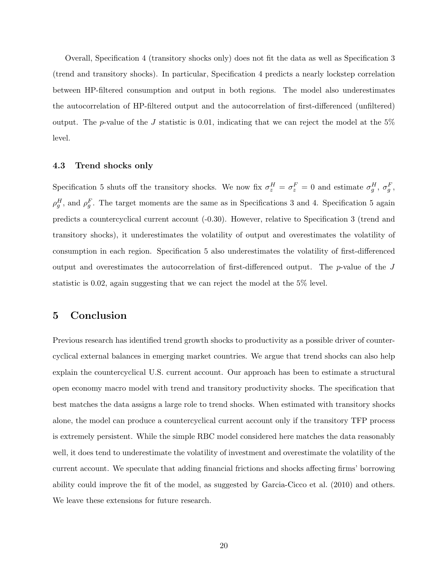Overall, Specification 4 (transitory shocks only) does not fit the data as well as Specification 3 (trend and transitory shocks). In particular, Specification 4 predicts a nearly lockstep correlation between HP-filtered consumption and output in both regions. The model also underestimates the autocorrelation of HP-filtered output and the autocorrelation of first-differenced (unfiltered) output. The p-value of the J statistic is 0.01, indicating that we can reject the model at the  $5\%$ level.

## 4.3 Trend shocks only

Specification 5 shuts off the transitory shocks. We now fix  $\sigma_z^H = \sigma_z^F = 0$  and estimate  $\sigma_g^H$ ,  $\sigma_g^F$ ,  $\rho_g^H$ , and  $\rho_g^F$ . The target moments are the same as in Specifications 3 and 4. Specification 5 again predicts a countercyclical current account (-0.30). However, relative to Specification 3 (trend and transitory shocks), it underestimates the volatility of output and overestimates the volatility of consumption in each region. Specification 5 also underestimates the volatility of first-differenced output and overestimates the autocorrelation of first-differenced output. The  $p$ -value of the  $J$ statistic is 0.02, again suggesting that we can reject the model at the 5% level.

## 5 Conclusion

Previous research has identified trend growth shocks to productivity as a possible driver of countercyclical external balances in emerging market countries. We argue that trend shocks can also help explain the countercyclical U.S. current account. Our approach has been to estimate a structural open economy macro model with trend and transitory productivity shocks. The specification that best matches the data assigns a large role to trend shocks. When estimated with transitory shocks alone, the model can produce a countercyclical current account only if the transitory TFP process is extremely persistent. While the simple RBC model considered here matches the data reasonably well, it does tend to underestimate the volatility of investment and overestimate the volatility of the current account. We speculate that adding financial frictions and shocks affecting firms' borrowing ability could improve the fit of the model, as suggested by Garcia-Cicco et al. (2010) and others. We leave these extensions for future research.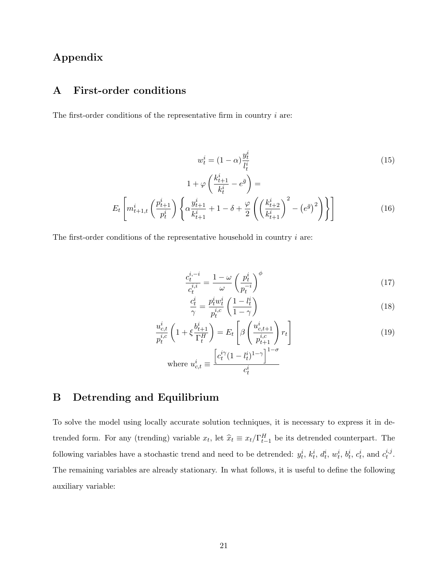# Appendix

# A First-order conditions

The first-order conditions of the representative firm in country i are:

$$
w_t^i = (1 - \alpha) \frac{y_t^i}{l_t^i}
$$
\n
$$
1 + \varphi \left(\frac{k_{t+1}^i}{k_t^i} - e^{\bar{g}}\right) =
$$
\n
$$
E_t \left[ m_{t+1,t}^i \left(\frac{p_{t+1}^i}{p_t^i}\right) \left\{ \alpha \frac{y_{t+1}^i}{k_{t+1}^i} + 1 - \delta + \frac{\varphi}{2} \left( \left(\frac{k_{t+2}^i}{k_{t+1}^i}\right)^2 - \left(e^{\bar{g}}\right)^2 \right) \right\} \right]
$$
\n
$$
(16)
$$

The first-order conditions of the representative household in country  $i$  are:

$$
\frac{c_t^{i,-i}}{c_t^{i,i}} = \frac{1-\omega}{\omega} \left(\frac{p_t^i}{p_t^{-i}}\right)^{\phi} \tag{17}
$$

$$
\frac{c_t^i}{\gamma} = \frac{p_t^i w_t^i}{p_t^{i,c}} \left(\frac{1 - l_t^i}{1 - \gamma}\right) \tag{18}
$$

$$
\frac{u_{c,t}^i}{p_t^{i,c}} \left(1 + \xi \frac{b_{t+1}^i}{\Gamma_t^H}\right) = E_t \left[\beta \left(\frac{u_{c,t+1}^i}{p_{t+1}^{i,c}}\right) r_t\right]
$$
\n
$$
\left[\xi^i \gamma(1 - t_i) \right]^{1-\sigma}
$$
\n(19)

where 
$$
u_{c,t}^i \equiv \frac{\left[c_t^{i\gamma}(1 - l_t^i)^{1-\gamma}\right]^{\frac{1}{\gamma}}}{c_t^i}
$$

## B Detrending and Equilibrium

To solve the model using locally accurate solution techniques, it is necessary to express it in detrended form. For any (trending) variable  $x_t$ , let  $\hat{x}_t \equiv x_t/\Gamma_{t-1}^H$  be its detrended counterpart. The following variables have a stochastic trend and need to be detrended:  $y_t^i$ ,  $k_t^i$ ,  $d_t^i$ ,  $w_t^i$ ,  $b_t^i$ ,  $c_t^i$ , and  $c_t^{i,j}$  $_t^{i,j}.$ The remaining variables are already stationary. In what follows, it is useful to define the following auxiliary variable: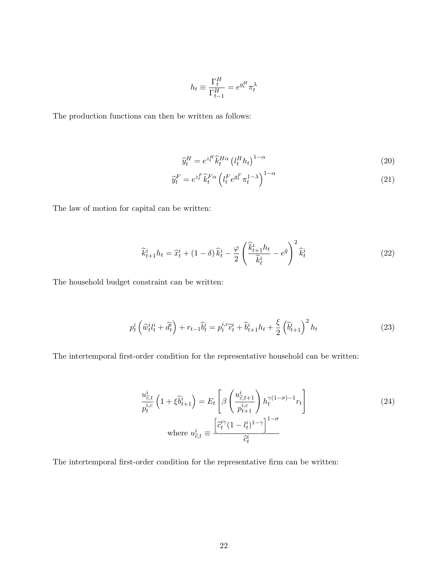$$
h_t \equiv \frac{\Gamma_t^H}{\Gamma_{t-1}^H} = e^{g_t^H} \pi_t^{\lambda}
$$

The production functions can then be written as follows:

$$
\widehat{y}_t^H = e^{z_t^H} \widehat{k}_t^{H\alpha} \left( l_t^H h_t \right)^{1-\alpha} \tag{20}
$$

$$
\widehat{y}_t^F = e^{z_t^F} \widehat{k}_t^{F\alpha} \left( l_t^F e^{g_t^F} \pi_t^{1-\lambda} \right)^{1-\alpha} \tag{21}
$$

The law of motion for capital can be written:

$$
\widehat{k}_{t+1}^{i}h_{t} = \widehat{x}_{t}^{i} + (1 - \delta)\widehat{k}_{t}^{i} - \frac{\varphi}{2} \left(\frac{\widehat{k}_{t+1}^{i}h_{t}}{\widehat{k}_{t}^{i}} - e^{\bar{g}}\right)^{2}\widehat{k}_{t}^{i}
$$
\n(22)

The household budget constraint can be written:

$$
p_t^i \left( \hat{w}_t^i l_t^i + \hat{d}_t^i \right) + r_{t-1} \hat{b}_t^i = p_t^{i,c} \hat{c}_t^i + \hat{b}_{t+1}^i h_t + \frac{\xi}{2} \left( \hat{b}_{t+1}^i \right)^2 h_t \tag{23}
$$

The intertemporal first-order condition for the representative household can be written:

$$
\frac{u_{\hat{c},t}^i}{p_t^{i,c}} \left(1 + \xi \hat{b}_{t+1}^i\right) = E_t \left[\beta \left(\frac{u_{\hat{c},t+1}^i}{p_{t+1}^{i,c}}\right) h_t^{\gamma(1-\sigma)-1} r_t\right]
$$
\n
$$
\text{where } u_{\hat{c},t}^i \equiv \frac{\left[\hat{c}_t^{i\gamma} (1 - l_t^i)^{1-\gamma}\right]^{1-\sigma}}{\hat{c}_t^i}
$$
\n(24)

The intertemporal first-order condition for the representative firm can be written: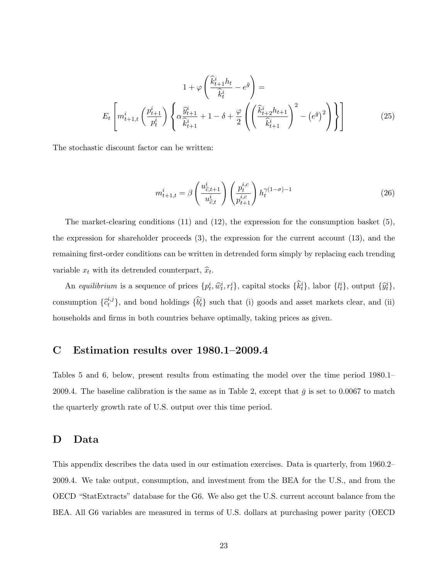$$
1 + \varphi \left( \frac{\hat{k}_{t+1}^i h_t}{\hat{k}_t^i} - e^{\bar{g}} \right) =
$$
  

$$
E_t \left[ m_{t+1,t}^i \left( \frac{p_{t+1}^i}{p_t^i} \right) \left\{ \alpha \frac{\hat{y}_{t+1}^i}{\hat{k}_{t+1}^i} + 1 - \delta + \frac{\varphi}{2} \left( \left( \frac{\hat{k}_{t+2}^i h_{t+1}}{\hat{k}_{t+1}^i} \right)^2 - \left( e^{\bar{g}} \right)^2 \right) \right\} \right]
$$
(25)

The stochastic discount factor can be written:

$$
m_{t+1,t}^{i} = \beta \left(\frac{u_{\hat{c},t+1}^{i}}{u_{\hat{c},t}^{i}}\right) \left(\frac{p_t^{i,c}}{p_{t+1}^{i,c}}\right) h_t^{\gamma(1-\sigma)-1}
$$
\n(26)

The market-clearing conditions  $(11)$  and  $(12)$ , the expression for the consumption basket  $(5)$ , the expression for shareholder proceeds (3), the expression for the current account (13), and the remaining first-order conditions can be written in detrended form simply by replacing each trending variable  $x_t$  with its detrended counterpart,  $\hat{x}_t$ .

An *equilibrium* is a sequence of prices  $\{p_t^i, \hat{w}_t^i, r_t^i\}$ , capital stocks  $\{\hat{k}_t^i\}$ , labor  $\{l_t^i\}$ , output  $\{\hat{y}_t^i\}$ , consumption  $\{\hat{c}_t^{i,j}\}$  $\{\hat{b}_t^i\}$ , and bond holdings  $\{\hat{b}_t^i\}$  such that (i) goods and asset markets clear, and (ii) households and firms in both countries behave optimally, taking prices as given.

## C Estimation results over 1980.1–2009.4

Tables 5 and 6, below, present results from estimating the model over the time period 1980.1– 2009.4. The baseline calibration is the same as in Table 2, except that  $\bar{g}$  is set to 0.0067 to match the quarterly growth rate of U.S. output over this time period.

## D Data

This appendix describes the data used in our estimation exercises. Data is quarterly, from 1960.2– 2009.4. We take output, consumption, and investment from the BEA for the U.S., and from the OECD "StatExtracts" database for the G6. We also get the U.S. current account balance from the BEA. All G6 variables are measured in terms of U.S. dollars at purchasing power parity (OECD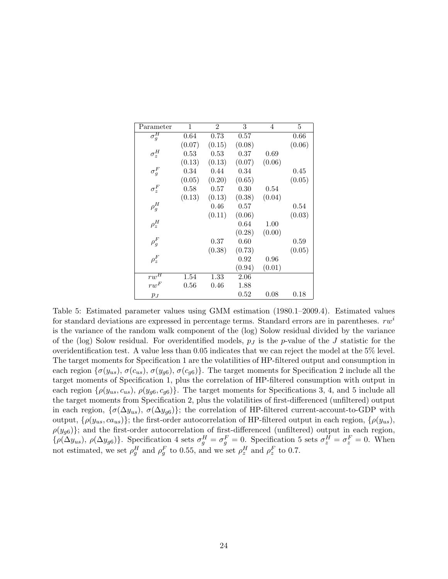| Parameter    | $\mathbf{1}$ | $\overline{2}$ | 3      | $\overline{4}$ | 5      |
|--------------|--------------|----------------|--------|----------------|--------|
| $\sigma^H_g$ | 0.64         | 0.73           | 0.57   |                | 0.66   |
|              | (0.07)       | (0.15)         | (0.08) |                | (0.06) |
| $\sigma_z^H$ | 0.53         | 0.53           | 0.37   | 0.69           |        |
|              | (0.13)       | (0.13)         | (0.07) | (0.06)         |        |
| $\sigma_g^F$ | 0.34         | 0.44           | 0.34   |                | 0.45   |
|              | (0.05)       | (0.20)         | (0.65) |                | (0.05) |
| $\sigma_z^F$ | 0.58         | 0.57           | 0.30   | 0.54           |        |
|              | (0.13)       | (0.13)         | (0.38) | (0.04)         |        |
| $\rho_g^H$   |              | 0.46           | 0.57   |                | 0.54   |
|              |              | (0.11)         | (0.06) |                | (0.03) |
| $\rho_z^H$   |              |                | 0.64   | 1.00           |        |
|              |              |                | (0.28) | (0.00)         |        |
| $\rho_g^F$   |              | 0.37           | 0.60   |                | 0.59   |
|              |              | (0.38)         | (0.73) |                | (0.05) |
| $\rho^F_z$   |              |                | 0.92   | 0.96           |        |
|              |              |                | (0.94) | (0.01)         |        |
| $rw^H$       | 1.54         | 1.33           | 2.06   |                |        |
| $rw^F$       | 0.56         | 0.46           | 1.88   |                |        |
|              |              |                | 0.52   | 0.08           | 0.18   |
| $p_J$        |              |                |        |                |        |

Table 5: Estimated parameter values using GMM estimation (1980.1–2009.4). Estimated values for standard deviations are expressed in percentage terms. Standard errors are in parentheses.  $rw<sup>i</sup>$ is the variance of the random walk component of the (log) Solow residual divided by the variance of the (log) Solow residual. For overidentified models,  $p_j$  is the p-value of the J statistic for the overidentification test. A value less than 0.05 indicates that we can reject the model at the 5% level. The target moments for Specification 1 are the volatilities of HP-filtered output and consumption in each region  $\{\sigma(y_{us}), \sigma(c_{us}), \sigma(y_{q6}), \sigma(c_{q6})\}\)$ . The target moments for Specification 2 include all the target moments of Specification 1, plus the correlation of HP-filtered consumption with output in each region  $\{\rho(y_{us}, c_{us}), \rho(y_{q6}, c_{q6})\}\.$  The target moments for Specifications 3, 4, and 5 include all the target moments from Specification 2, plus the volatilities of first-differenced (unfiltered) output in each region,  $\{\sigma(\Delta y_{us}), \sigma(\Delta y_{g6})\}$ ; the correlation of HP-filtered current-account-to-GDP with output,  $\{\rho(y_{us}, ca_{us})\}$ ; the first-order autocorrelation of HP-filtered output in each region,  $\{\rho(y_{us}),\}$  $\rho(y_{g6})\$ ; and the first-order autocorrelation of first-differenced (unfiltered) output in each region,  $\{\rho(\Delta y_{us}), \rho(\Delta y_{g6})\}\$ . Specification 4 sets  $\sigma_g^H = \sigma_g^F = 0$ . Specification 5 sets  $\sigma_z^H = \sigma_z^F = 0$ . When not estimated, we set  $\rho_g^H$  and  $\rho_g^F$  to 0.55, and we set  $\rho_z^H$  and  $\rho_z^F$  to 0.7.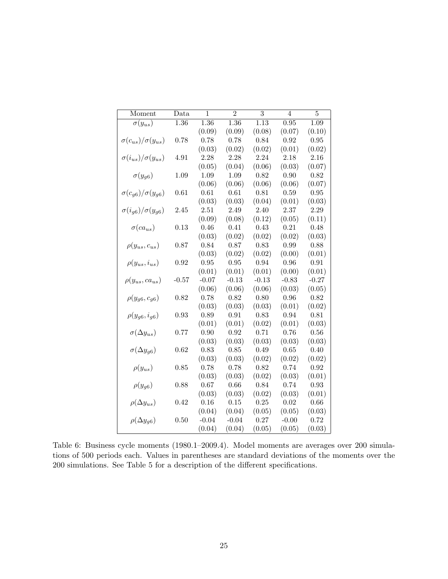| Moment                          | Data    | 1          | $\overline{2}$ | 3       | 4        | 5          |
|---------------------------------|---------|------------|----------------|---------|----------|------------|
| $\sigma(y_{us})$                | 1.36    | 1.36       | 1.36           | 1.13    | 0.95     | 1.09       |
|                                 |         | (0.09)     | (0.09)         | (0.08)  | (0.07)   | (0.10)     |
| $\sigma(c_{us})/\sigma(y_{us})$ | 0.78    | 0.78       | 0.78           | 0.84    | 0.92     | 0.95       |
|                                 |         | (0.03)     | (0.02)         | (0.02)  | (0.01)   | (0.02)     |
| $\sigma(i_{us})/\sigma(y_{us})$ | 4.91    | 2.28       | 2.28           | 2.24    | 2.18     | 2.16       |
|                                 |         | (0.05)     | (0.04)         | (0.06)  | (0.03)   | (0.07)     |
| $\sigma(y_{g6})$                | 1.09    | 1.09       | 1.09           | 0.82    | 0.90     | 0.82       |
|                                 |         | (0.06)     | (0.06)         | (0.06)  | (0.06)   | (0.07)     |
| $\sigma(c_{g6})/\sigma(y_{g6})$ | 0.61    | 0.61       | 0.61           | 0.81    | 0.59     | $\rm 0.95$ |
|                                 |         | (0.03)     | (0.03)         | (0.04)  | (0.01)   | (0.03)     |
| $\sigma(i_{g6})/\sigma(y_{g6})$ | 2.45    | 2.51       | 2.49           | 2.40    | 2.37     | 2.29       |
|                                 |         | (0.09)     | (0.08)         | (0.12)  | (0.05)   | (0.11)     |
| $\sigma (ca_{us})$              | 0.13    | 0.46       | 0.41           | 0.43    | 0.21     | 0.48       |
|                                 |         | (0.03)     | (0.02)         | (0.02)  | (0.02)   | (0.03)     |
| $\rho(y_{us}, c_{us})$          | 0.87    | 0.84       | 0.87           | 0.83    | 0.99     | 0.88       |
|                                 |         | (0.03)     | (0.02)         | (0.02)  | (0.00)   | (0.01)     |
| $\rho(y_{us}, i_{us})$          | 0.92    | $\rm 0.95$ | 0.95           | 0.94    | 0.96     | 0.91       |
|                                 |         | (0.01)     | (0.01)         | (0.01)  | (0.00)   | (0.01)     |
| $\rho(y_{us},ca_{us})$          | $-0.57$ | $-0.07$    | $-0.13$        | $-0.13$ | $-0.83$  | $-0.27$    |
|                                 |         | (0.06)     | (0.06)         | (0.06)  | (0.03)   | (0.05)     |
| $\rho(y_{g6},c_{g6})$           | 0.82    | 0.78       | 0.82           | 0.80    | $0.96\,$ | $0.82\,$   |
|                                 |         | (0.03)     | (0.03)         | (0.03)  | (0.01)   | (0.02)     |
| $\rho(y_{g6}, i_{g6})$          | 0.93    | 0.89       | 0.91           | 0.83    | 0.94     | 0.81       |
|                                 |         | (0.01)     | (0.01)         | (0.02)  | (0.01)   | (0.03)     |
| $\sigma(\Delta y_{us})$         | 0.77    | 0.90       | 0.92           | 0.71    | 0.76     | 0.56       |
|                                 |         | (0.03)     | (0.03)         | (0.03)  | (0.03)   | (0.03)     |
| $\sigma(\Delta y_{g6})$         | 0.62    | 0.83       | 0.85           | 0.49    | 0.65     | 0.40       |
|                                 |         | (0.03)     | (0.03)         | (0.02)  | (0.02)   | (0.02)     |
| $\rho(y_{us})$                  | 0.85    | 0.78       | $0.78\,$       | 0.82    | 0.74     | $\rm 0.92$ |
|                                 |         | (0.03)     | (0.03)         | (0.02)  | (0.03)   | (0.01)     |
| $\rho(y_{g6})$                  | 0.88    | 0.67       | 0.66           | 0.84    | 0.74     | 0.93       |
|                                 |         | (0.03)     | (0.03)         | (0.02)  | (0.03)   | (0.01)     |
| $\rho(\Delta y_{us})$           | 0.42    | 0.16       | 0.15           | 0.25    | 0.02     | 0.66       |
|                                 |         | (0.04)     | (0.04)         | (0.05)  | (0.05)   | (0.03)     |
| $\rho(\Delta y_{g6})$           | 0.50    | $-0.04$    | $-0.04$        | 0.27    | $-0.00$  | 0.72       |
|                                 |         | (0.04)     | (0.04)         | (0.05)  | (0.05)   | (0.03)     |

Table 6: Business cycle moments (1980.1–2009.4). Model moments are averages over 200 simulations of 500 periods each. Values in parentheses are standard deviations of the moments over the 200 simulations. See Table 5 for a description of the different specifications.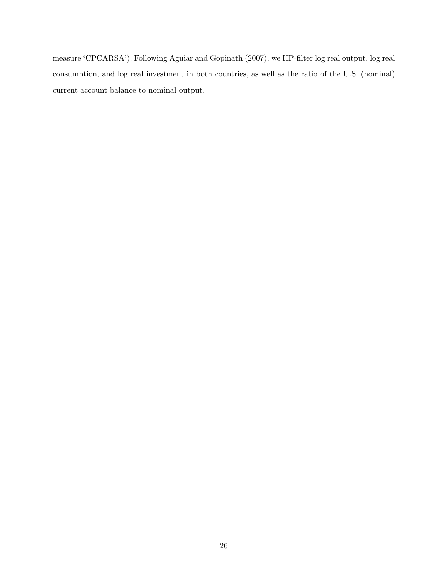measure 'CPCARSA'). Following Aguiar and Gopinath (2007), we HP-filter log real output, log real consumption, and log real investment in both countries, as well as the ratio of the U.S. (nominal) current account balance to nominal output.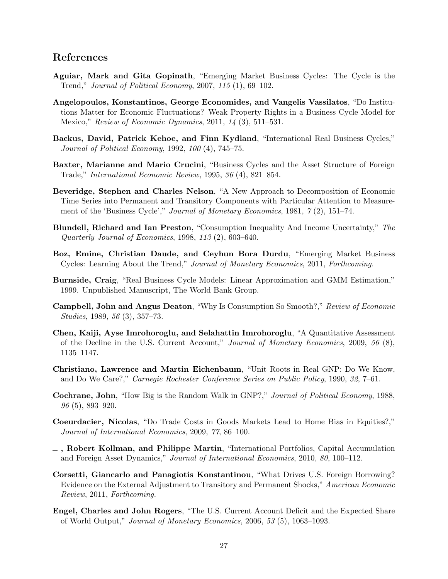## References

- Aguiar, Mark and Gita Gopinath, "Emerging Market Business Cycles: The Cycle is the Trend," *Journal of Political Economy*, 2007, *115* (1), 69–102.
- Angelopoulos, Konstantinos, George Economides, and Vangelis Vassilatos, "Do Institutions Matter for Economic Fluctuations? Weak Property Rights in a Business Cycle Model for Mexico," *Review of Economic Dynamics*, 2011, *14* (3), 511–531.
- Backus, David, Patrick Kehoe, and Finn Kydland, "International Real Business Cycles," *Journal of Political Economy*, 1992, *100* (4), 745–75.
- Baxter, Marianne and Mario Crucini, "Business Cycles and the Asset Structure of Foreign Trade," *International Economic Review*, 1995, *36* (4), 821–854.
- Beveridge, Stephen and Charles Nelson, "A New Approach to Decomposition of Economic Time Series into Permanent and Transitory Components with Particular Attention to Measurement of the 'Business Cycle'," *Journal of Monetary Economics*, 1981, *7* (2), 151–74.
- Blundell, Richard and Ian Preston, "Consumption Inequality And Income Uncertainty," *The Quarterly Journal of Economics*, 1998, *113* (2), 603–640.
- Boz, Emine, Christian Daude, and Ceyhun Bora Durdu, "Emerging Market Business Cycles: Learning About the Trend," *Journal of Monetary Economics*, 2011, *Forthcoming.*
- Burnside, Craig, "Real Business Cycle Models: Linear Approximation and GMM Estimation," 1999. Unpublished Manuscript, The World Bank Group.
- Campbell, John and Angus Deaton, "Why Is Consumption So Smooth?," *Review of Economic Studies*, 1989, *56* (3), 357–73.
- Chen, Kaiji, Ayse Imrohoroglu, and Selahattin Imrohoroglu, "A Quantitative Assessment of the Decline in the U.S. Current Account," *Journal of Monetary Economics*, 2009, *56* (8), 1135–1147.
- Christiano, Lawrence and Martin Eichenbaum, "Unit Roots in Real GNP: Do We Know, and Do We Care?," *Carnegie Rochester Conference Series on Public Policy*, 1990, *32*, 7–61.
- Cochrane, John, "How Big is the Random Walk in GNP?," *Journal of Political Economy*, 1988, *96* (5), 893–920.
- Coeurdacier, Nicolas, "Do Trade Costs in Goods Markets Lead to Home Bias in Equities?," *Journal of International Economics*, 2009, *77*, 86–100.
- $\overline{\phantom{a}}$ , Robert Kollman, and Philippe Martin, "International Portfolios, Capital Accumulation and Foreign Asset Dynamics," *Journal of International Economics*, 2010, *80*, 100–112.
- Corsetti, Giancarlo and Panagiotis Konstantinou, "What Drives U.S. Foreign Borrowing? Evidence on the External Adjustment to Transitory and Permanent Shocks," *American Economic Review*, 2011, *Forthcoming.*
- Engel, Charles and John Rogers, "The U.S. Current Account Deficit and the Expected Share of World Output," *Journal of Monetary Economics*, 2006, *53* (5), 1063–1093.